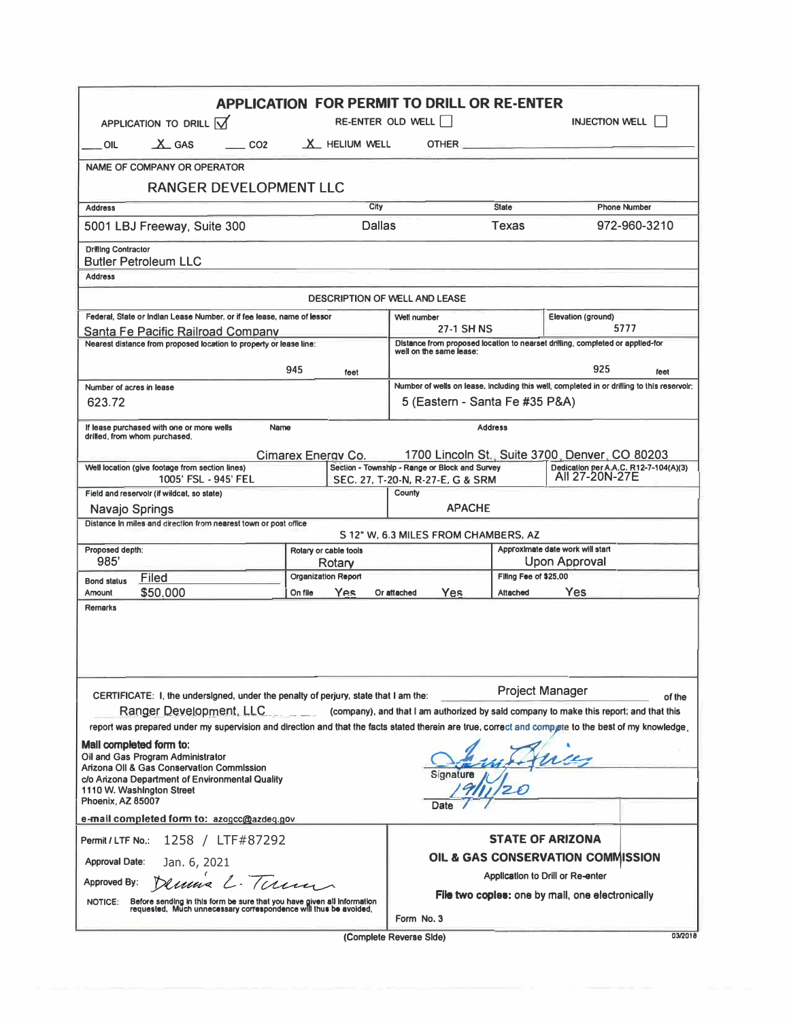| <b>APPLICATION FOR PERMIT TO DRILL OR RE-ENTER</b>                                                                                                                                                                       |                                                         |                                                                                                                                                                                                                                      |                                        |      |                     |  |
|--------------------------------------------------------------------------------------------------------------------------------------------------------------------------------------------------------------------------|---------------------------------------------------------|--------------------------------------------------------------------------------------------------------------------------------------------------------------------------------------------------------------------------------------|----------------------------------------|------|---------------------|--|
| APPLICATION TO DRILL $\overline{M}$                                                                                                                                                                                      | RE-ENTER OLD WELL    <br><b>INJECTION WELL</b>          |                                                                                                                                                                                                                                      |                                        |      |                     |  |
| $X$ GAS<br>CO <sub>2</sub><br>OIL                                                                                                                                                                                        | X HELIUM WELL                                           | OTHER <b>Andrew Contract Contract Contract Contract Contract Contract Contract Contract Contract Contract Contract Contract Contract Contract Contract Contract Contract Contract Contract Contract Contract Contract Contract C</b> |                                        |      |                     |  |
| NAME OF COMPANY OR OPERATOR                                                                                                                                                                                              |                                                         |                                                                                                                                                                                                                                      |                                        |      |                     |  |
| RANGER DEVELOPMENT LLC                                                                                                                                                                                                   |                                                         |                                                                                                                                                                                                                                      |                                        |      |                     |  |
| <b>Address</b>                                                                                                                                                                                                           | City                                                    |                                                                                                                                                                                                                                      | <b>State</b>                           |      | <b>Phone Number</b> |  |
| <b>Dallas</b><br>5001 LBJ Freeway, Suite 300                                                                                                                                                                             |                                                         |                                                                                                                                                                                                                                      | 972-960-3210<br>Texas                  |      |                     |  |
| <b>Drilling Contractor</b><br><b>Butler Petroleum LLC</b>                                                                                                                                                                |                                                         |                                                                                                                                                                                                                                      |                                        |      |                     |  |
| <b>Address</b>                                                                                                                                                                                                           |                                                         |                                                                                                                                                                                                                                      |                                        |      |                     |  |
| <b>DESCRIPTION OF WELL AND LEASE</b>                                                                                                                                                                                     |                                                         |                                                                                                                                                                                                                                      |                                        |      |                     |  |
| Federal, State or Indian Lease Number, or if fee lease, name of lessor                                                                                                                                                   | Well number                                             |                                                                                                                                                                                                                                      | Elevation (ground)                     | 5777 |                     |  |
| Santa Fe Pacific Railroad Company<br>Nearest distance from proposed location to property or lease line:                                                                                                                  |                                                         | <b>27-1 SH NS</b><br>Distance from proposed location to nearset drilling, completed or applied-for                                                                                                                                   |                                        |      |                     |  |
|                                                                                                                                                                                                                          | well on the same lease:                                 |                                                                                                                                                                                                                                      |                                        |      |                     |  |
|                                                                                                                                                                                                                          | 945<br>feet                                             |                                                                                                                                                                                                                                      | 925                                    | feet |                     |  |
| Number of acres in lease                                                                                                                                                                                                 |                                                         | Number of wells on lease, including this well, completed in or drilling to this reservolr;                                                                                                                                           |                                        |      |                     |  |
| 623.72                                                                                                                                                                                                                   | 5 (Eastern - Santa Fe #35 P&A)                          |                                                                                                                                                                                                                                      |                                        |      |                     |  |
| If lease purchased with one or more wells<br>Name<br><b>Address</b><br>drilled, from whom purchased,                                                                                                                     |                                                         |                                                                                                                                                                                                                                      |                                        |      |                     |  |
|                                                                                                                                                                                                                          | Cimarex Energy Co.                                      | 1700 Lincoln St., Suite 3700, Denver, CO 80203                                                                                                                                                                                       |                                        |      |                     |  |
| Section - Township - Range or Block and Survey<br>Dedication per A.A.C. R12-7-104(A)(3)<br>Well location (give footage from section lines)<br>All 27-20N-27E<br>1005' FSL - 945' FEL<br>SEC. 27, T-20-N, R-27-E, G & SRM |                                                         |                                                                                                                                                                                                                                      |                                        |      |                     |  |
| Field and reservoir (if wildcat, so state)<br>County                                                                                                                                                                     |                                                         |                                                                                                                                                                                                                                      |                                        |      |                     |  |
| <b>APACHF</b><br>Navajo Springs<br>Distance In miles and direction from nearest town or post office                                                                                                                      |                                                         |                                                                                                                                                                                                                                      |                                        |      |                     |  |
| S 12° W, 6.3 MILES FROM CHAMBERS, AZ                                                                                                                                                                                     |                                                         |                                                                                                                                                                                                                                      |                                        |      |                     |  |
| Proposed depth:                                                                                                                                                                                                          | Rotary or cable tools                                   |                                                                                                                                                                                                                                      | Approximate date work will start       |      |                     |  |
| 985'<br>Filed                                                                                                                                                                                                            | Rotary<br><b>Organization Report</b>                    |                                                                                                                                                                                                                                      | Upon Approval<br>Filing Fee of \$25,00 |      |                     |  |
| <b>Bond status</b><br>\$50.000<br>Amount                                                                                                                                                                                 | On file<br>Yes.<br><b>Yes</b><br>Or attached            |                                                                                                                                                                                                                                      | Yes<br>Attached                        |      |                     |  |
| Remarks                                                                                                                                                                                                                  |                                                         |                                                                                                                                                                                                                                      |                                        |      |                     |  |
|                                                                                                                                                                                                                          |                                                         |                                                                                                                                                                                                                                      |                                        |      |                     |  |
| <b>Project Manager</b><br>CERTIFICATE: I, the undersigned, under the penalty of perjury, state that I am the:<br>of the                                                                                                  |                                                         |                                                                                                                                                                                                                                      |                                        |      |                     |  |
| Ranger Development, LLC<br>(company), and that I am authorized by sald company to make this report; and that this                                                                                                        |                                                         |                                                                                                                                                                                                                                      |                                        |      |                     |  |
| report was prepared under my supervision and direction and that the facts stated therein are true, correct and compuste to the best of my knowledge.                                                                     |                                                         |                                                                                                                                                                                                                                      |                                        |      |                     |  |
| Mail completed form to:<br>may<br>Oil and Gas Program Administrator                                                                                                                                                      |                                                         |                                                                                                                                                                                                                                      |                                        |      |                     |  |
| Arizona Oll & Gas Conservation Commission<br><b>Signature</b><br>c/o Arizona Department of Environmental Quality                                                                                                         |                                                         |                                                                                                                                                                                                                                      |                                        |      |                     |  |
| 1110 W. Washington Street<br>Phoenix, AZ 85007                                                                                                                                                                           | Date                                                    |                                                                                                                                                                                                                                      |                                        |      |                     |  |
| e-mail completed form to: azogcc@azdeq.gov                                                                                                                                                                               |                                                         |                                                                                                                                                                                                                                      |                                        |      |                     |  |
| 1258 / LTF#87292<br>Permit / LTF No.:                                                                                                                                                                                    | <b>STATE OF ARIZONA</b>                                 |                                                                                                                                                                                                                                      |                                        |      |                     |  |
| <b>Approval Date:</b><br>Jan. 6, 2021                                                                                                                                                                                    | OIL & GAS CONSERVATION COMMISSION                       |                                                                                                                                                                                                                                      |                                        |      |                     |  |
| Denis L. Terma<br>Approved By:                                                                                                                                                                                           | Application to Drill or Re-enter                        |                                                                                                                                                                                                                                      |                                        |      |                     |  |
| NOTICE:<br>Before sending in this form be sure that you have given all information<br>requested. Much unnecessary correspondence will thus be avoided.                                                                   | <b>File two copies:</b> one by mall, one electronically |                                                                                                                                                                                                                                      |                                        |      |                     |  |
| Form No. 3                                                                                                                                                                                                               |                                                         |                                                                                                                                                                                                                                      |                                        |      |                     |  |
| 03/2018<br>(Complete Reverse Side)                                                                                                                                                                                       |                                                         |                                                                                                                                                                                                                                      |                                        |      |                     |  |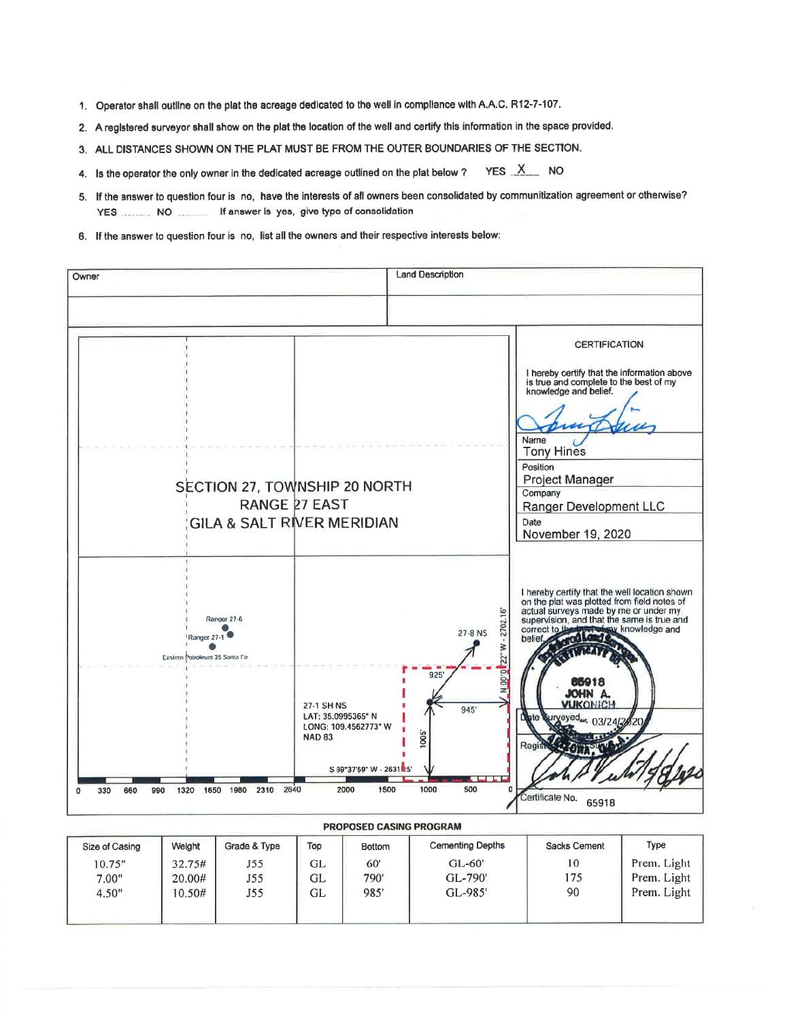- 1. Operator shall outline on the plat the acreage dedicated to the well in compliance with A.A.C. R12-7-107.
- 2. A registered surveyor shall show on the plat the location of the well and certify this information in the space provided.
- 3. ALL DISTANCES SHOWN ON THE PLAT MUST BE FROM THE OUTER BOUNDARIES OF THE SECTION.
- YES X NO 4. Is the operator the only owner in the dedicated acreage outlined on the plat below ?
- 5. If the answer to question four is no, have the interests of all owners been consolidated by communitization agreement or otherwise? **YES** NO If answer is yes, give type of consolidation
- 6. If the answer to question four is no, list all the owners and their respective interests below: